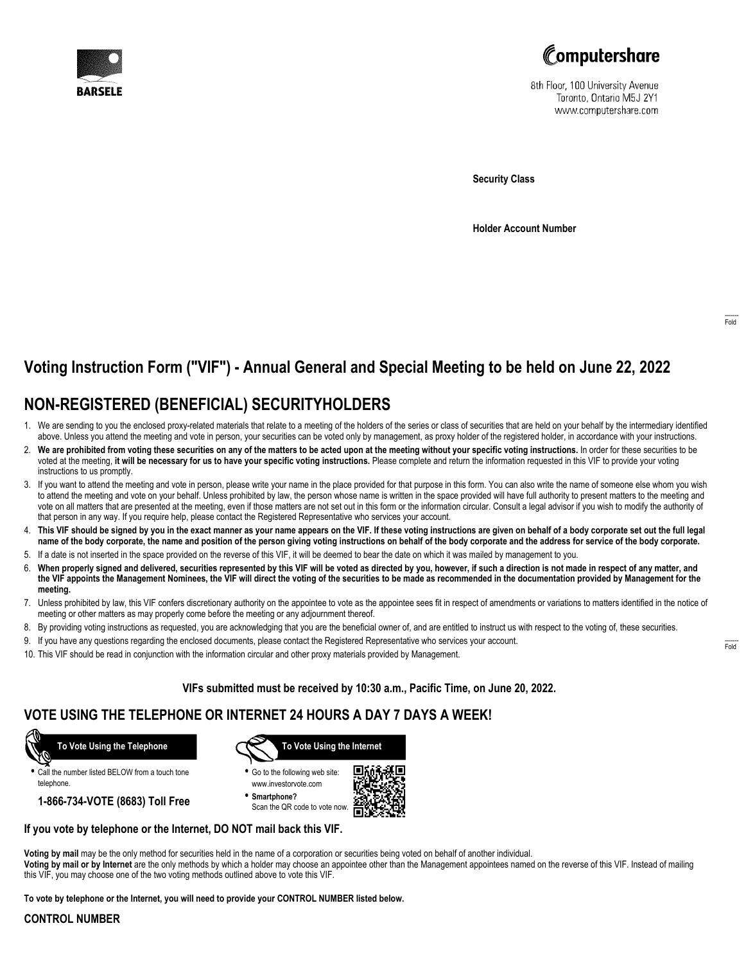



8th Floor, 100 University Avenue Toronto, Ontario M5J 2Y1 www.computershare.com

**Security Class**

**Holder Account Number**

# **Voting Instruction Form ("VIF") - Annual General and Special Meeting to be held on June 22, 2022**

### **NON-REGISTERED (BENEFICIAL) SECURITYHOLDERS**

- 1. We are sending to you the enclosed proxy-related materials that relate to a meeting of the holders of the series or class of securities that are held on your behalf by the intermediary identified above. Unless you attend the meeting and vote in person, your securities can be voted only by management, as proxy holder of the registered holder, in accordance with your instructions.
- 2. **We are prohibited from voting these securities on any of the matters to be acted upon at the meeting without your specific voting instructions.** In order for these securities to be voted at the meeting, **it will be necessary for us to have your specific voting instructions.** Please complete and return the information requested in this VIF to provide your voting instructions to us promptly.
- 3. If you want to attend the meeting and vote in person, please write your name in the place provided for that purpose in this form. You can also write the name of someone else whom you wish to attend the meeting and vote on your behalf. Unless prohibited by law, the person whose name is written in the space provided will have full authority to present matters to the meeting and vote on all matters that are presented at the meeting, even if those matters are not set out in this form or the information circular. Consult a legal advisor if you wish to modify the authority of that person in any way. If you require help, please contact the Registered Representative who services your account.
- 4. **This VIF should be signed by you in the exact manner as your name appears on the VIF. If these voting instructions are given on behalf of a body corporate set out the full legal name of the body corporate, the name and position of the person giving voting instructions on behalf of the body corporate and the address for service of the body corporate.**
- 5. If a date is not inserted in the space provided on the reverse of this VIF, it will be deemed to bear the date on which it was mailed by management to you.
- 6. **When properly signed and delivered, securities represented by this VIF will be voted as directed by you, however, if such a direction is not made in respect of any matter, and the VIF appoints the Management Nominees, the VIF will direct the voting of the securities to be made as recommended in the documentation provided by Management for the meeting.**
- 7. Unless prohibited by law, this VIF confers discretionary authority on the appointee to vote as the appointee sees fit in respect of amendments or variations to matters identified in the notice of meeting or other matters as may properly come before the meeting or any adjournment thereof.
- 8. By providing voting instructions as requested, you are acknowledging that you are the beneficial owner of, and are entitled to instruct us with respect to the voting of, these securities.
- 9. If you have any questions regarding the enclosed documents, please contact the Registered Representative who services your account.
- 10. This VIF should be read in conjunction with the information circular and other proxy materials provided by Management.

**VIFs submitted must be received by 10:30 a.m., Pacific Time, on June 20, 2022.**

### **VOTE USING THE TELEPHONE OR INTERNET 24 HOURS A DAY 7 DAYS A WEEK!**



**•** Call the number listed BELOW from a touch tone telephone.

**1-866-734-VOTE (8683) Toll Free**



- **•** Go to the following web site: www.investorvote.com
- **• Smartphone?** Scan the QR code to vote now



#### **If you vote by telephone or the Internet, DO NOT mail back this VIF.**

**Voting by mail** may be the only method for securities held in the name of a corporation or securities being voted on behalf of another individual.

**Voting by mail or by Internet** are the only methods by which a holder may choose an appointee other than the Management appointees named on the reverse of this VIF. Instead of mailing this VIF, you may choose one of the two voting methods outlined above to vote this VIF.

**To vote by telephone or the Internet, you will need to provide your CONTROL NUMBER listed below.**

#### **CONTROL NUMBER**